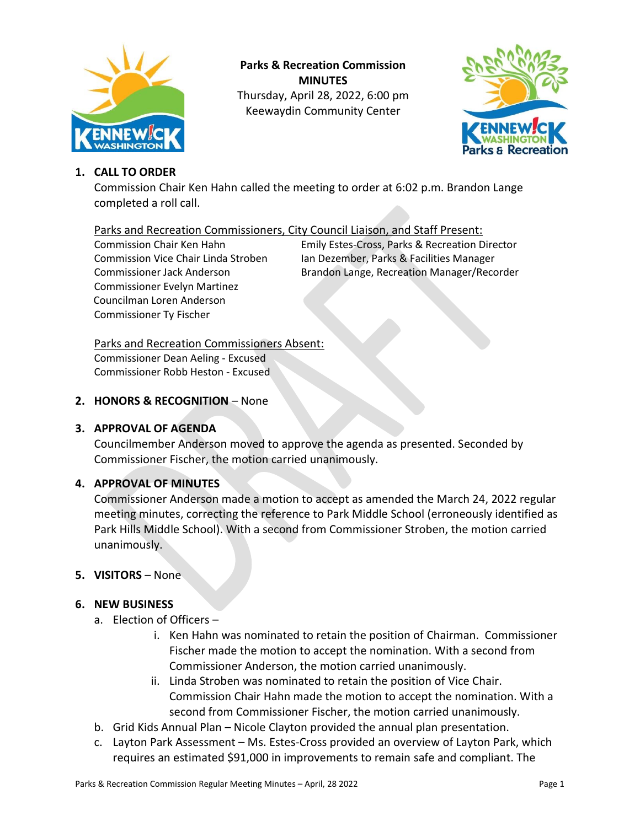

**Parks & Recreation Commission MINUTES** Thursday, April 28, 2022, 6:00 pm Keewaydin Community Center



# **1. CALL TO ORDER**

Commission Chair Ken Hahn called the meeting to order at 6:02 p.m. Brandon Lange completed a roll call.

## Parks and Recreation Commissioners, City Council Liaison, and Staff Present:

Commissioner Evelyn Martinez Councilman Loren Anderson Commissioner Ty Fischer

Commission Chair Ken Hahn Emily Estes-Cross, Parks & Recreation Director Commission Vice Chair Linda Stroben Ian Dezember, Parks & Facilities Manager Commissioner Jack Anderson Brandon Lange, Recreation Manager/Recorder

# Parks and Recreation Commissioners Absent:

Commissioner Dean Aeling - Excused Commissioner Robb Heston - Excused

## **2. HONORS & RECOGNITION** – None

# **3. APPROVAL OF AGENDA**

Councilmember Anderson moved to approve the agenda as presented. Seconded by Commissioner Fischer, the motion carried unanimously.

## **4. APPROVAL OF MINUTES**

Commissioner Anderson made a motion to accept as amended the March 24, 2022 regular meeting minutes, correcting the reference to Park Middle School (erroneously identified as Park Hills Middle School). With a second from Commissioner Stroben, the motion carried unanimously.

## **5. VISITORS** – None

#### **6. NEW BUSINESS**

- a. Election of Officers
	- i. Ken Hahn was nominated to retain the position of Chairman. Commissioner Fischer made the motion to accept the nomination. With a second from Commissioner Anderson, the motion carried unanimously.
	- ii. Linda Stroben was nominated to retain the position of Vice Chair. Commission Chair Hahn made the motion to accept the nomination. With a second from Commissioner Fischer, the motion carried unanimously.
- b. Grid Kids Annual Plan Nicole Clayton provided the annual plan presentation.
- c. Layton Park Assessment Ms. Estes-Cross provided an overview of Layton Park, which requires an estimated \$91,000 in improvements to remain safe and compliant. The